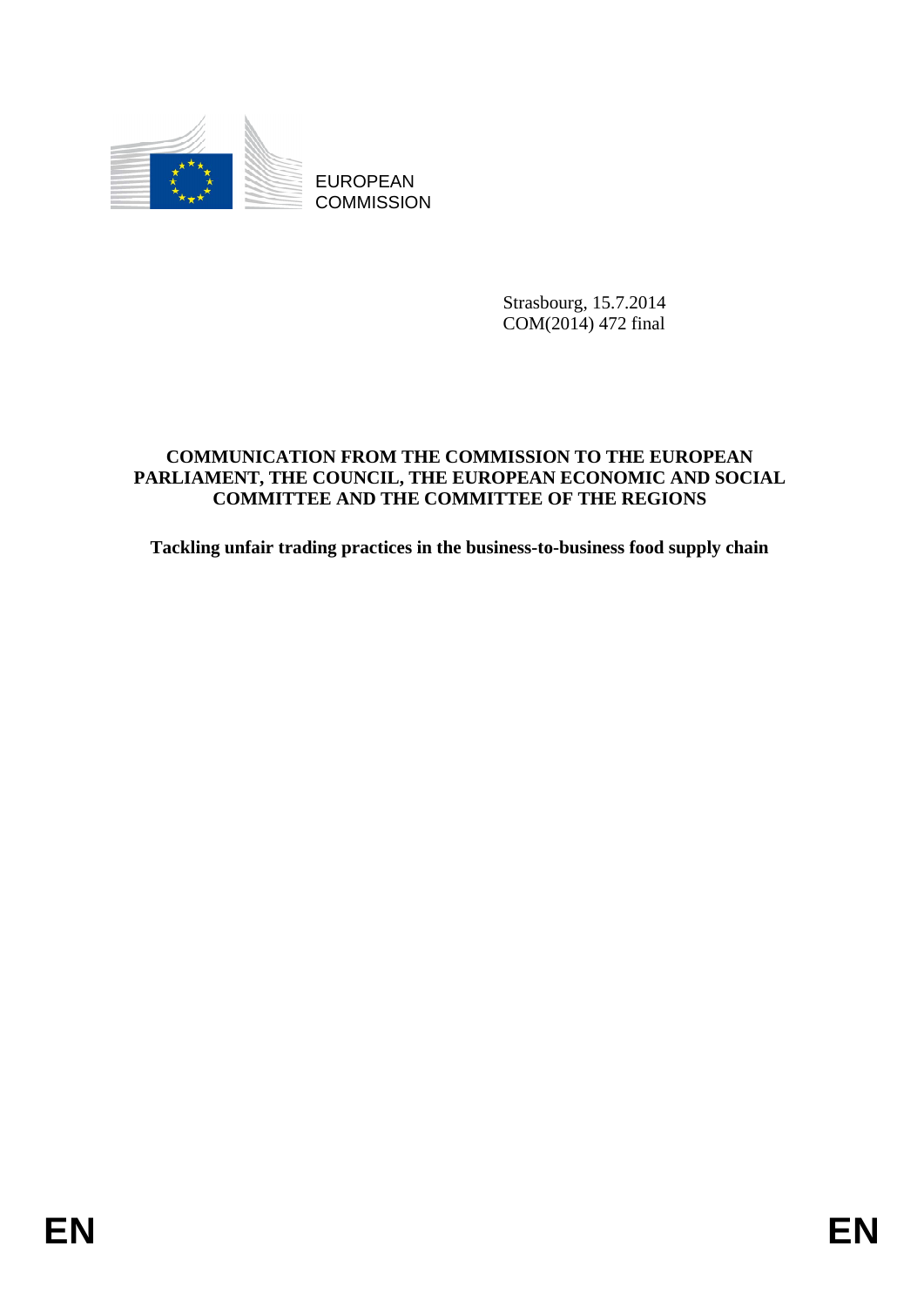

EUROPEAN **COMMISSION** 

> Strasbourg, 15.7.2014 COM(2014) 472 final

# **COMMUNICATION FROM THE COMMISSION TO THE EUROPEAN PARLIAMENT, THE COUNCIL, THE EUROPEAN ECONOMIC AND SOCIAL COMMITTEE AND THE COMMITTEE OF THE REGIONS**

**Tackling unfair trading practices in the business-to-business food supply chain**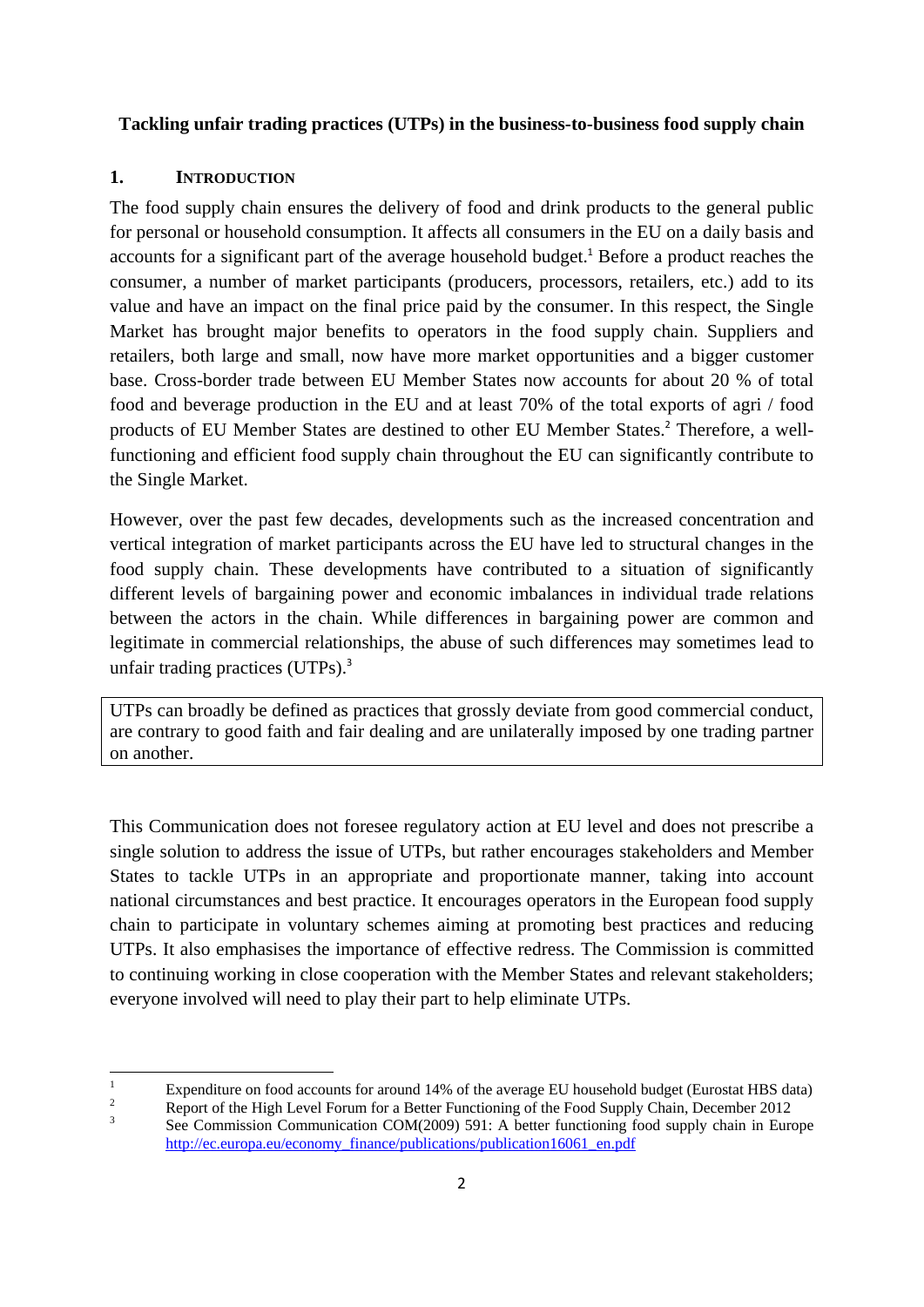# **Tackling unfair trading practices (UTPs) in the business-to-business food supply chain**

### **1. INTRODUCTION**

The food supply chain ensures the delivery of food and drink products to the general public for personal or household consumption. It affects all consumers in the EU on a daily basis and accounts for a significant part of the average household budget.<sup>1</sup> Before a product reaches the consumer, a number of market participants (producers, processors, retailers, etc.) add to its value and have an impact on the final price paid by the consumer. In this respect, the Single Market has brought major benefits to operators in the food supply chain. Suppliers and retailers, both large and small, now have more market opportunities and a bigger customer base. Cross-border trade between EU Member States now accounts for about 20 % of total food and beverage production in the EU and at least 70% of the total exports of agri / food products of EU Member States are destined to other EU Member States.<sup>2</sup> Therefore, a wellfunctioning and efficient food supply chain throughout the EU can significantly contribute to the Single Market.

However, over the past few decades, developments such as the increased concentration and vertical integration of market participants across the EU have led to structural changes in the food supply chain. These developments have contributed to a situation of significantly different levels of bargaining power and economic imbalances in individual trade relations between the actors in the chain. While differences in bargaining power are common and legitimate in commercial relationships, the abuse of such differences may sometimes lead to unfair trading practices  $(UTPs)^3$ .

UTPs can broadly be defined as practices that grossly deviate from good commercial conduct, are contrary to good faith and fair dealing and are unilaterally imposed by one trading partner on another.

This Communication does not foresee regulatory action at EU level and does not prescribe a single solution to address the issue of UTPs, but rather encourages stakeholders and Member States to tackle UTPs in an appropriate and proportionate manner, taking into account national circumstances and best practice. It encourages operators in the European food supply chain to participate in voluntary schemes aiming at promoting best practices and reducing UTPs. It also emphasises the importance of effective redress. The Commission is committed to continuing working in close cooperation with the Member States and relevant stakeholders; everyone involved will need to play their part to help eliminate UTPs.

 $\frac{1}{1}$ Expenditure on food accounts for around 14% of the average EU household budget (Eurostat HBS data)

<sup>2</sup> Report of the High Level Forum for a Better Functioning of the Food Supply Chain, December 2012 3 See Commission Communication COM(2009) 591: A better functioning food supply chain in Europe [http://ec.europa.eu/economy\\_f](http://ec.europa.eu/economy_finance/publications/publication16061_en.pdf)inance/publications/publication16061\_en.pdf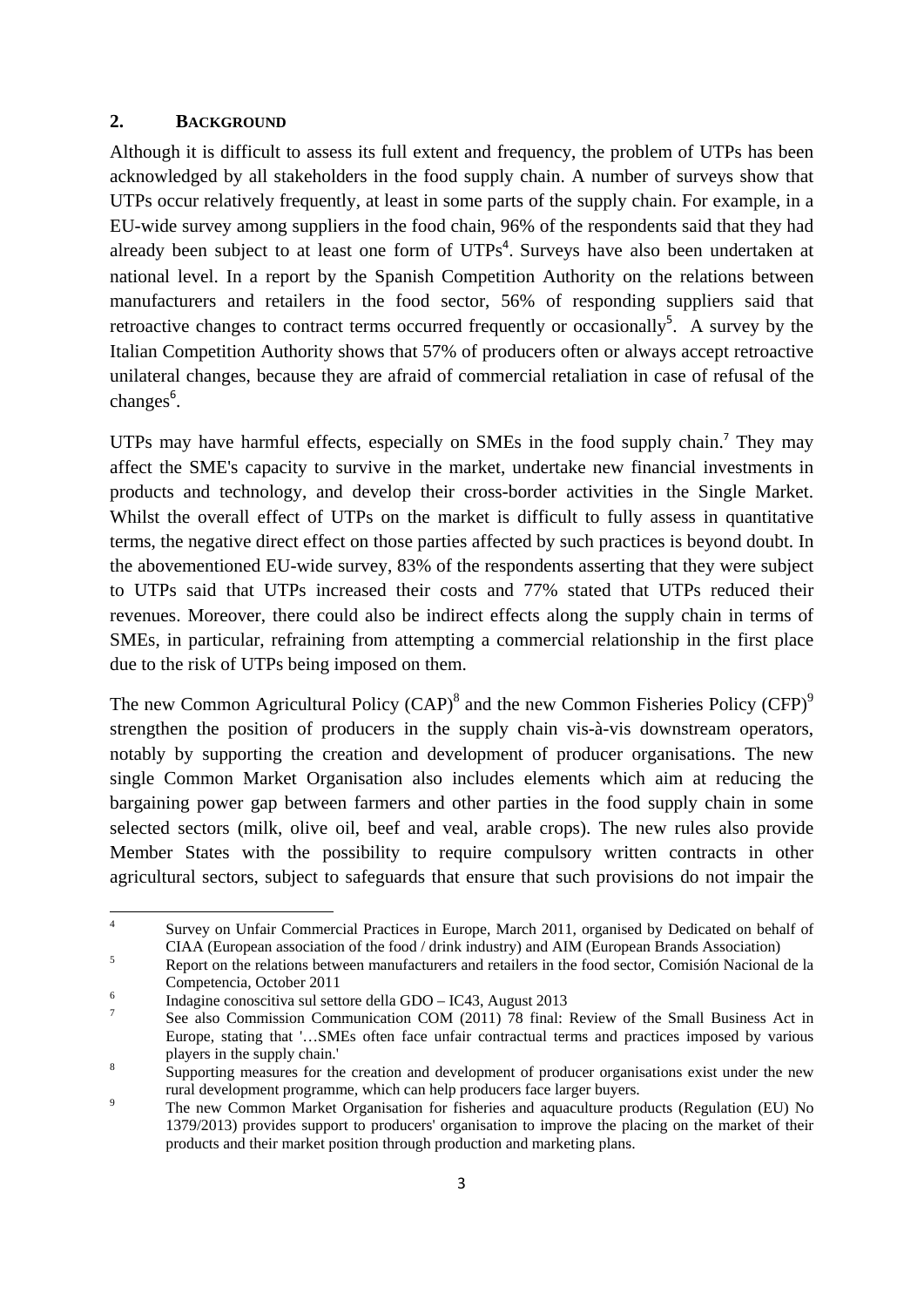### **2. BACKGROUND**

Although it is difficult to assess its full extent and frequency, the problem of UTPs has been acknowledged by all stakeholders in the food supply chain. A number of surveys show that UTPs occur relatively frequently, at least in some parts of the supply chain. For example, in a EU-wide survey among suppliers in the food chain, 96% of the respondents said that they had already been subject to at least one form of  $UTPs<sup>4</sup>$ . Surveys have also been undertaken at national level. In a report by the Spanish Competition Authority on the relations between manufacturers and retailers in the food sector, 56% of responding suppliers said that retroactive changes to contract terms occurred frequently or occasionally<sup>5</sup>. A survey by the Italian Competition Authority shows that 57% of producers often or always accept retroactive unilateral changes, because they are afraid of commercial retaliation in case of refusal of the changes<sup>6</sup>.

UTPs may have harmful effects, especially on SMEs in the food supply chain.<sup>7</sup> They may affect the SME's capacity to survive in the market, undertake new financial investments in products and technology, and develop their cross-border activities in the Single Market. Whilst the overall effect of UTPs on the market is difficult to fully assess in quantitative terms, the negative direct effect on those parties affected by such practices is beyond doubt. In the abovementioned EU-wide survey, 83% of the respondents asserting that they were subject to UTPs said that UTPs increased their costs and 77% stated that UTPs reduced their revenues. Moreover, there could also be indirect effects along the supply chain in terms of SMEs, in particular, refraining from attempting a commercial relationship in the first place due to the risk of UTPs being imposed on them.

The new Common Agricultural Policy  $(CAP)^8$  and the new Common Fisheries Policy  $(CFP)^9$ strengthen the position of producers in the supply chain vis-à-vis downstream operators, notably by supporting the creation and development of producer organisations. The new single Common Market Organisation also includes elements which aim at reducing the bargaining power gap between farmers and other parties in the food supply chain in some selected sectors (milk, olive oil, beef and veal, arable crops). The new rules also provide Member States with the possibility to require compulsory written contracts in other agricultural sectors, subject to safeguards that ensure that such provisions do not impair the

 $\frac{1}{4}$  Survey on Unfair Commercial Practices in Europe, March 2011, organised by Dedicated on behalf of CIAA (European association of the food / drink industry) and AIM (European Brands Association)

Report on the relations between manufacturers and retailers in the food sector, Comisión Nacional de la Competencia, October 2011 6

Indagine conoscitiva sul settore della GDO – IC43, August 2013

<sup>7</sup> See also Commission Communication COM (2011) 78 final: Review of the Small Business Act in Europe, stating that '…SMEs often face unfair contractual terms and practices imposed by various players in the supply chain.' 8

Supporting measures for the creation and development of producer organisations exist under the new rural development programme, which can help producers face larger buyers.

The new Common Market Organisation for fisheries and aquaculture products (Regulation (EU) No 1379/2013) provides support to producers' organisation to improve the placing on the market of their products and their market position through production and marketing plans.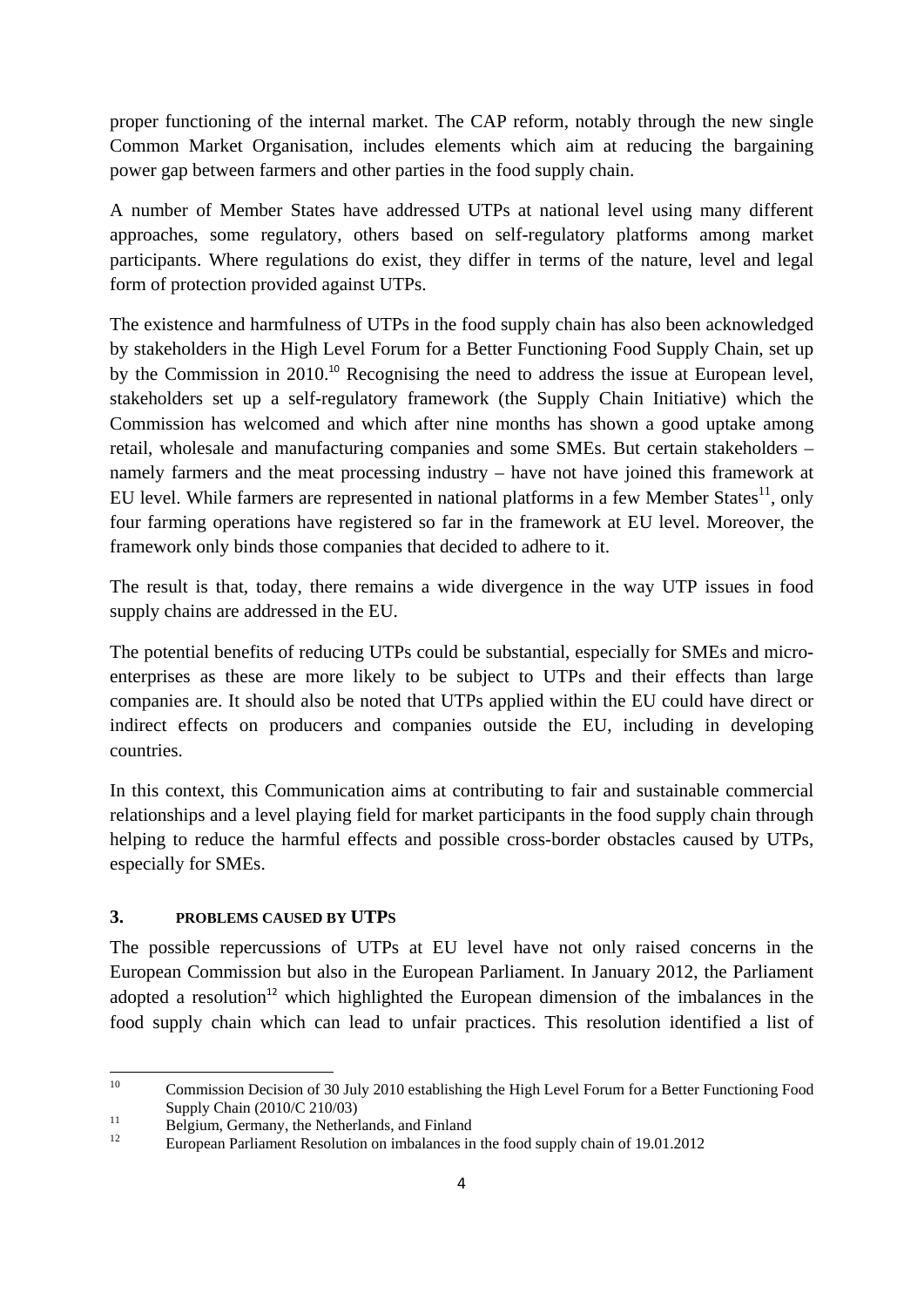proper functioning of the internal market. The CAP reform, notably through the new single Common Market Organisation, includes elements which aim at reducing the bargaining power gap between farmers and other parties in the food supply chain.

A number of Member States have addressed UTPs at national level using many different approaches, some regulatory, others based on self-regulatory platforms among market participants. Where regulations do exist, they differ in terms of the nature, level and legal form of protection provided against UTPs.

The existence and harmfulness of UTPs in the food supply chain has also been acknowledged by stakeholders in the High Level Forum for a Better Functioning Food Supply Chain, set up by the Commission in 2010.<sup>10</sup> Recognising the need to address the issue at European level, stakeholders set up a self-regulatory framework (the Supply Chain Initiative) which the Commission has welcomed and which after nine months has shown a good uptake among retail, wholesale and manufacturing companies and some SMEs. But certain stakeholders – namely farmers and the meat processing industry – have not have joined this framework at EU level. While farmers are represented in national platforms in a few Member States<sup>11</sup>, only four farming operations have registered so far in the framework at EU level. Moreover, the framework only binds those companies that decided to adhere to it.

The result is that, today, there remains a wide divergence in the way UTP issues in food supply chains are addressed in the EU.

The potential benefits of reducing UTPs could be substantial, especially for SMEs and microenterprises as these are more likely to be subject to UTPs and their effects than large companies are. It should also be noted that UTPs applied within the EU could have direct or indirect effects on producers and companies outside the EU, including in developing countries.

In this context, this Communication aims at contributing to fair and sustainable commercial relationships and a level playing field for market participants in the food supply chain through helping to reduce the harmful effects and possible cross-border obstacles caused by UTPs, especially for SMEs.

# **3. PROBLEMS CAUSED BY UTPS**

The possible repercussions of UTPs at EU level have not only raised concerns in the European Commission but also in the European Parliament. In January 2012, the Parliament adopted a resolution<sup>12</sup> which highlighted the European dimension of the imbalances in the food supply chain which can lead to unfair practices. This resolution identified a list of

 $10<sup>10</sup>$ 10 Commission Decision of 30 July 2010 establishing the High Level Forum for a Better Functioning Food

Supply Chain (2010/C 210/03)<br>Belgium, Germany, the Netherlands, and Finland<br><sup>12</sup>

<sup>12</sup> European Parliament Resolution on imbalances in the food supply chain of 19.01.2012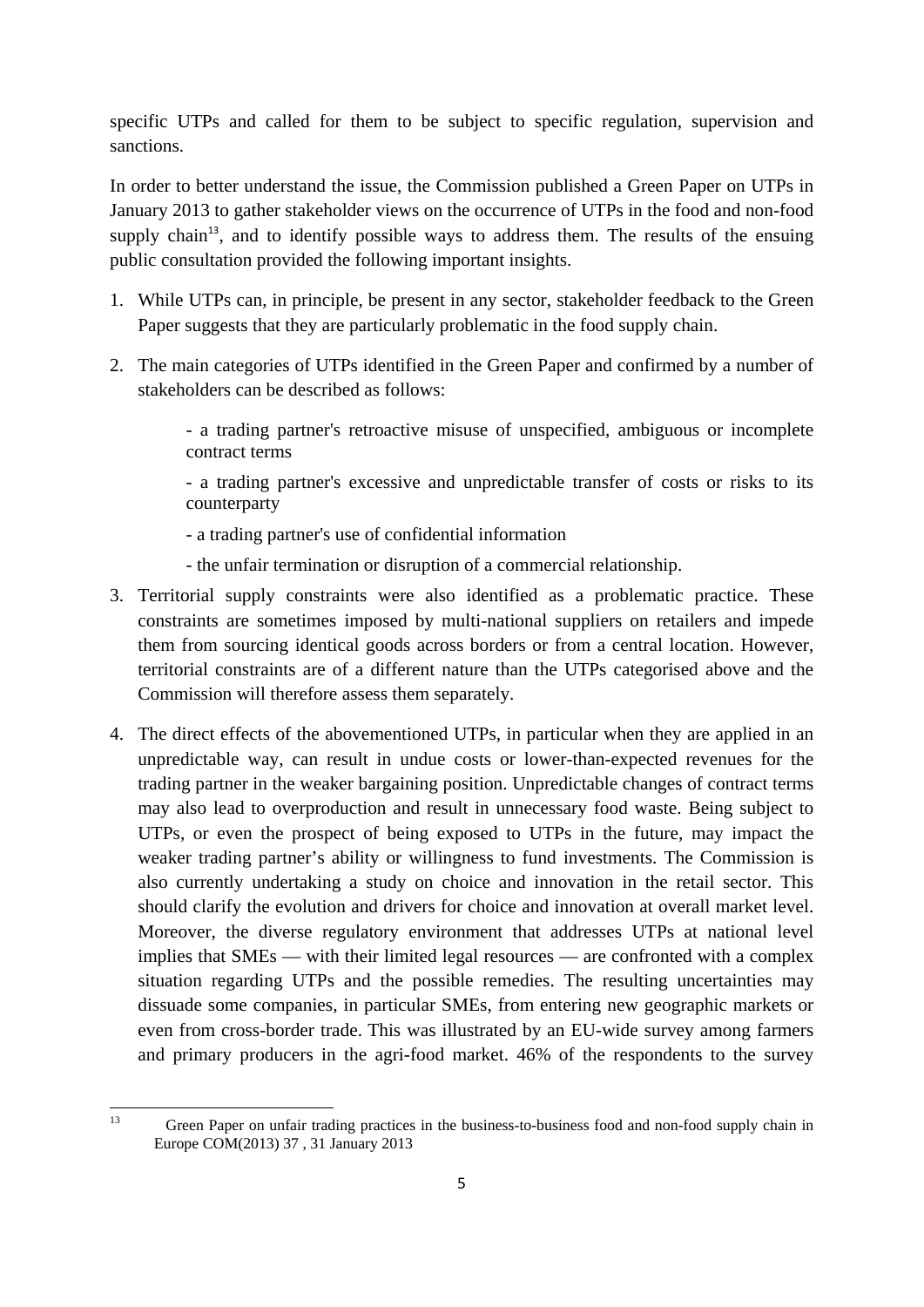specific UTPs and called for them to be subject to specific regulation, supervision and sanctions.

In order to better understand the issue, the Commission published a Green Paper on UTPs in January 2013 to gather stakeholder views on the occurrence of UTPs in the food and non-food supply chain<sup>13</sup>, and to identify possible ways to address them. The results of the ensuing public consultation provided the following important insights.

- 1. While UTPs can, in principle, be present in any sector, stakeholder feedback to the Green Paper suggests that they are particularly problematic in the food supply chain.
- 2. The main categories of UTPs identified in the Green Paper and confirmed by a number of stakeholders can be described as follows:

- a trading partner's retroactive misuse of unspecified, ambiguous or incomplete contract terms

- a trading partner's excessive and unpredictable transfer of costs or risks to its counterparty

- a trading partner's use of confidential information
- the unfair termination or disruption of a commercial relationship.
- 3. Territorial supply constraints were also identified as a problematic practice. These constraints are sometimes imposed by multi-national suppliers on retailers and impede them from sourcing identical goods across borders or from a central location. However, territorial constraints are of a different nature than the UTPs categorised above and the Commission will therefore assess them separately.
- 4. The direct effects of the abovementioned UTPs, in particular when they are applied in an unpredictable way, can result in undue costs or lower-than-expected revenues for the trading partner in the weaker bargaining position. Unpredictable changes of contract terms may also lead to overproduction and result in unnecessary food waste. Being subject to UTPs, or even the prospect of being exposed to UTPs in the future, may impact the weaker trading partner's ability or willingness to fund investments. The Commission is also currently undertaking a study on choice and innovation in the retail sector. This should clarify the evolution and drivers for choice and innovation at overall market level. Moreover, the diverse regulatory environment that addresses UTPs at national level implies that SMEs — with their limited legal resources — are confronted with a complex situation regarding UTPs and the possible remedies. The resulting uncertainties may dissuade some companies, in particular SMEs, from entering new geographic markets or even from cross-border trade. This was illustrated by an EU-wide survey among farmers and primary producers in the agri-food market. 46% of the respondents to the survey

 $13$ Green Paper on unfair trading practices in the business-to-business food and non-food supply chain in Europe COM(2013) 37 , 31 January 2013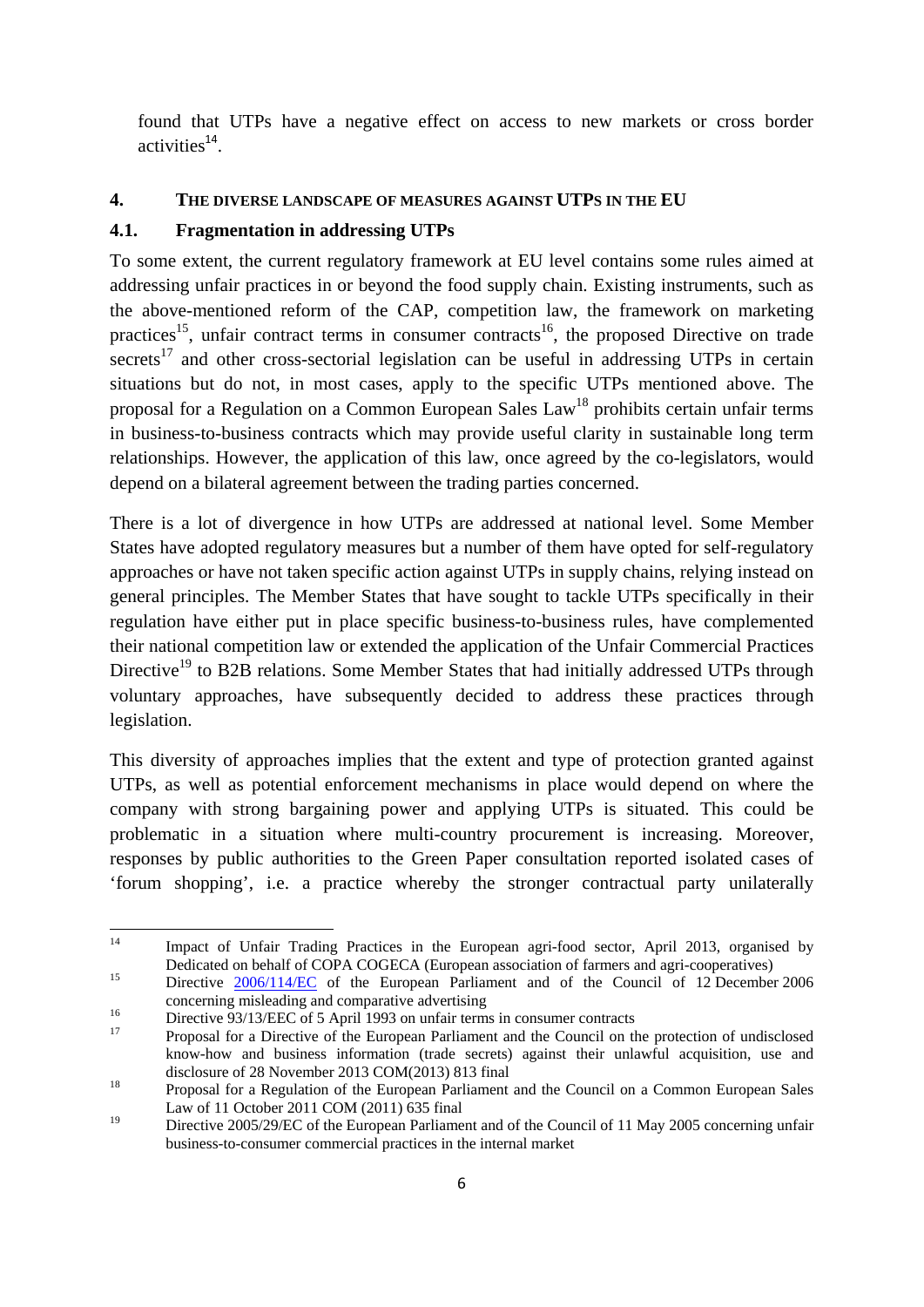found that UTPs have a negative effect on access to new markets or cross border  $\arct{arct}$  activities<sup>14</sup>.

# **4. THE DIVERSE LANDSCAPE OF MEASURES AGAINST UTPS IN THE EU**

### **4.1. Fragmentation in addressing UTPs**

To some extent, the current regulatory framework at EU level contains some rules aimed at addressing unfair practices in or beyond the food supply chain. Existing instruments, such as the above-mentioned reform of the CAP, competition law, the framework on marketing practices<sup>15</sup>, unfair contract terms in consumer contracts<sup>16</sup>, the proposed Directive on trade secrets<sup>17</sup> and other cross-sectorial legislation can be useful in addressing UTPs in certain situations but do not, in most cases, apply to the specific UTPs mentioned above. The proposal for a Regulation on a Common European Sales  $Law<sup>18</sup>$  prohibits certain unfair terms in business-to-business contracts which may provide useful clarity in sustainable long term relationships. However, the application of this law, once agreed by the co-legislators, would depend on a bilateral agreement between the trading parties concerned.

There is a lot of divergence in how UTPs are addressed at national level. Some Member States have adopted regulatory measures but a number of them have opted for self-regulatory approaches or have not taken specific action against UTPs in supply chains, relying instead on general principles. The Member States that have sought to tackle UTPs specifically in their regulation have either put in place specific business-to-business rules, have complemented their national competition law or extended the application of the Unfair Commercial Practices Directive<sup>19</sup> to B2B relations. Some Member States that had initially addressed UTPs through voluntary approaches, have subsequently decided to address these practices through legislation.

This diversity of approaches implies that the extent and type of protection granted against UTPs, as well as potential enforcement mechanisms in place would depend on where the company with strong bargaining power and applying UTPs is situated. This could be problematic in a situation where multi-country procurement is increasing. Moreover, responses by public authorities to the Green Paper consultation reported isolated cases of 'forum shopping', i.e. a practice whereby the stronger contractual party unilaterally

 $14$ 14 Impact of Unfair Trading Practices in the European agri-food sector, April 2013, organised by D[edicated](http://eur-lex.europa.eu/LexUriServ/LexUriServ.do?uri=CELEX:32006L0114:EN:NOT) on behalf of COPA COGECA (European association of farmers and agri-cooperatives)<br>Di[rective](http://eur-lex.europa.eu/LexUriServ/LexUriServ.do?uri=CELEX:32006L0114:EN:NOT) 2006/114/EC of the European Parliament and of the Council of 12 December 2006

concerning misleading and comparative advertising<br>
<sup>16</sup><br>
Directive 93/13/EEC of 5 April 1993 on unfair terms in consumer contracts<br>
Proposal for a Directive of the European Parliament and the Council on the protection of u

know-how and business information (trade secrets) against their unlawful acquisition, use and

disclosure of 28 November 2013 COM(2013) 813 final<br>
<sup>18</sup> Proposal for a Regulation of the European Parliament and the Council on a Common European Sales Law of 11 October 2011 COM (2011) 635 final

<sup>&</sup>lt;sup>19</sup> Directive 2005/29/EC of the European Parliament and of the Council of 11 May 2005 concerning unfair business-to-consumer commercial practices in the internal market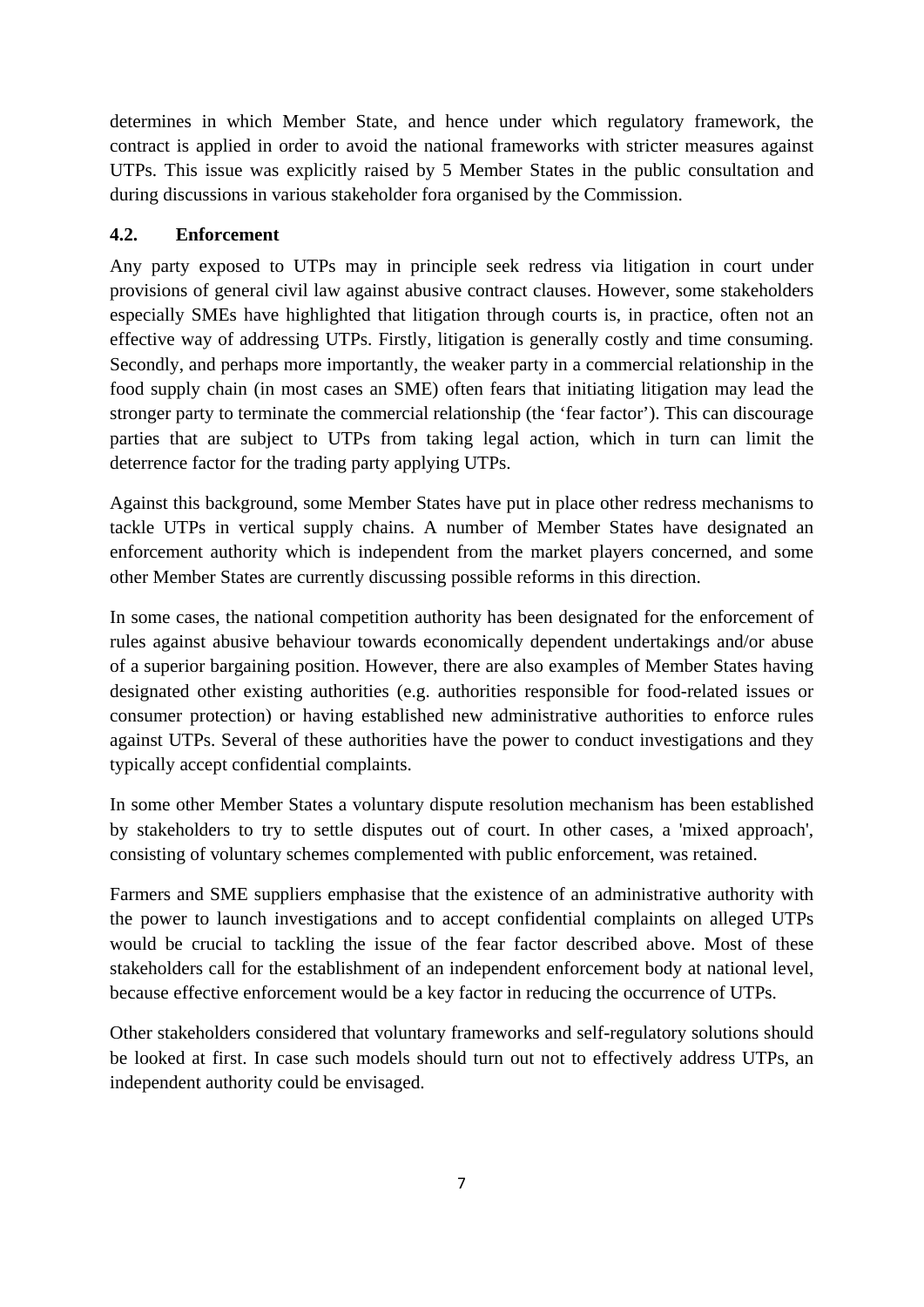determines in which Member State, and hence under which regulatory framework, the contract is applied in order to avoid the national frameworks with stricter measures against UTPs. This issue was explicitly raised by 5 Member States in the public consultation and during discussions in various stakeholder fora organised by the Commission.

# **4.2. Enforcement**

Any party exposed to UTPs may in principle seek redress via litigation in court under provisions of general civil law against abusive contract clauses. However, some stakeholders especially SMEs have highlighted that litigation through courts is, in practice, often not an effective way of addressing UTPs. Firstly, litigation is generally costly and time consuming. Secondly, and perhaps more importantly, the weaker party in a commercial relationship in the food supply chain (in most cases an SME) often fears that initiating litigation may lead the stronger party to terminate the commercial relationship (the 'fear factor'). This can discourage parties that are subject to UTPs from taking legal action, which in turn can limit the deterrence factor for the trading party applying UTPs.

Against this background, some Member States have put in place other redress mechanisms to tackle UTPs in vertical supply chains. A number of Member States have designated an enforcement authority which is independent from the market players concerned, and some other Member States are currently discussing possible reforms in this direction.

In some cases, the national competition authority has been designated for the enforcement of rules against abusive behaviour towards economically dependent undertakings and/or abuse of a superior bargaining position. However, there are also examples of Member States having designated other existing authorities (e.g. authorities responsible for food-related issues or consumer protection) or having established new administrative authorities to enforce rules against UTPs. Several of these authorities have the power to conduct investigations and they typically accept confidential complaints.

In some other Member States a voluntary dispute resolution mechanism has been established by stakeholders to try to settle disputes out of court. In other cases, a 'mixed approach', consisting of voluntary schemes complemented with public enforcement, was retained.

Farmers and SME suppliers emphasise that the existence of an administrative authority with the power to launch investigations and to accept confidential complaints on alleged UTPs would be crucial to tackling the issue of the fear factor described above. Most of these stakeholders call for the establishment of an independent enforcement body at national level, because effective enforcement would be a key factor in reducing the occurrence of UTPs.

Other stakeholders considered that voluntary frameworks and self-regulatory solutions should be looked at first. In case such models should turn out not to effectively address UTPs, an independent authority could be envisaged.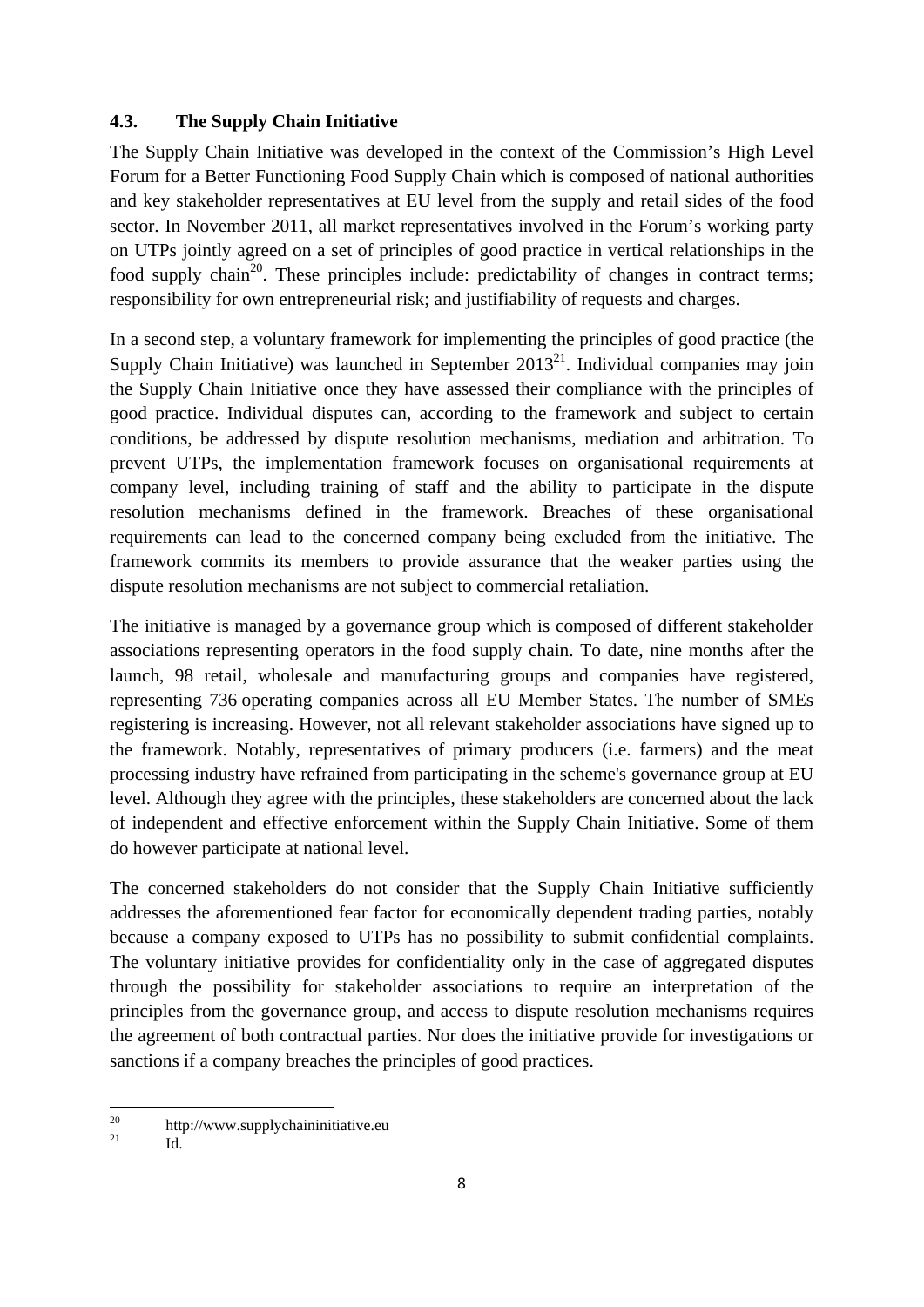### **4.3. The Supply Chain Initiative**

The Supply Chain Initiative was developed in the context of the Commission's High Level Forum for a Better Functioning Food Supply Chain which is composed of national authorities and key stakeholder representatives at EU level from the supply and retail sides of the food sector. In November 2011, all market representatives involved in the Forum's working party on UTPs jointly agreed on a set of principles of good practice in vertical relationships in the food supply chain<sup>20</sup>. These principles include: predictability of changes in contract terms; responsibility for own entrepreneurial risk; and justifiability of requests and charges.

In a second step, a voluntary framework for implementing the principles of good practice (the Supply Chain Initiative) was launched in September  $2013^{21}$ . Individual companies may join the Supply Chain Initiative once they have assessed their compliance with the principles of good practice. Individual disputes can, according to the framework and subject to certain conditions, be addressed by dispute resolution mechanisms, mediation and arbitration. To prevent UTPs, the implementation framework focuses on organisational requirements at company level, including training of staff and the ability to participate in the dispute resolution mechanisms defined in the framework. Breaches of these organisational requirements can lead to the concerned company being excluded from the initiative. The framework commits its members to provide assurance that the weaker parties using the dispute resolution mechanisms are not subject to commercial retaliation.

The initiative is managed by a governance group which is composed of different stakeholder associations representing operators in the food supply chain. To date, nine months after the launch, 98 retail, wholesale and manufacturing groups and companies have registered, representing 736 operating companies across all EU Member States. The number of SMEs registering is increasing. However, not all relevant stakeholder associations have signed up to the framework. Notably, representatives of primary producers (i.e. farmers) and the meat processing industry have refrained from participating in the scheme's governance group at EU level. Although they agree with the principles, these stakeholders are concerned about the lack of independent and effective enforcement within the Supply Chain Initiative. Some of them do however participate at national level.

The concerned stakeholders do not consider that the Supply Chain Initiative sufficiently addresses the aforementioned fear factor for economically dependent trading parties, notably because a company exposed to UTPs has no possibility to submit confidential complaints. The voluntary initiative provides for confidentiality only in the case of aggregated disputes through the possibility for stakeholder associations to require an interpretation of the principles from the governance group, and access to dispute resolution mechanisms requires the agreement of both contractual parties. Nor does the initiative provide for investigations or sanctions if a company breaches the principles of good practices.

 $20$  $^{20}_{21}$  http://www.supplychaininitiative.eu

Id.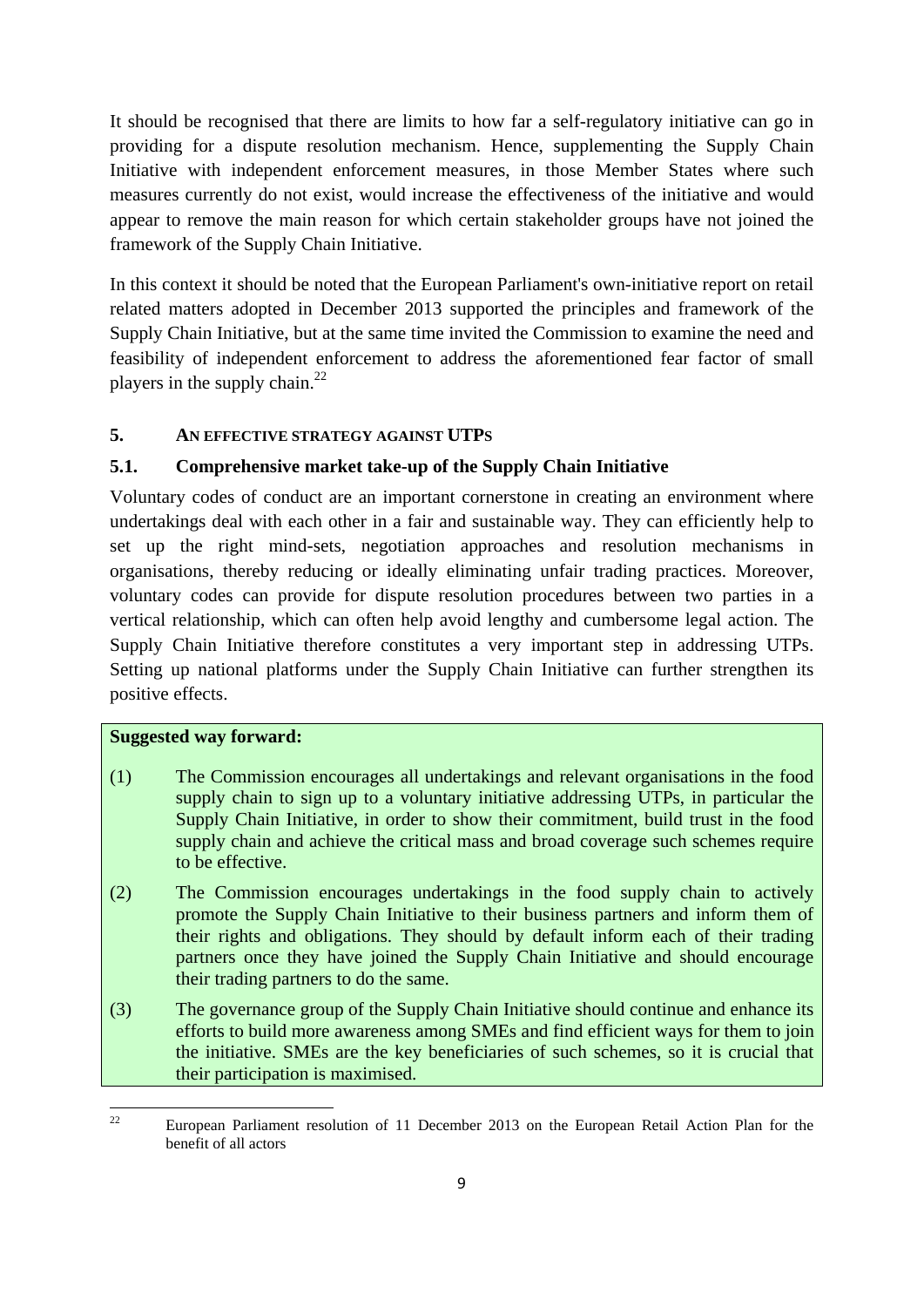It should be recognised that there are limits to how far a self-regulatory initiative can go in providing for a dispute resolution mechanism. Hence, supplementing the Supply Chain Initiative with independent enforcement measures, in those Member States where such measures currently do not exist, would increase the effectiveness of the initiative and would appear to remove the main reason for which certain stakeholder groups have not joined the framework of the Supply Chain Initiative.

In this context it should be noted that the European Parliament's own-initiative report on retail related matters adopted in December 2013 supported the principles and framework of the Supply Chain Initiative, but at the same time invited the Commission to examine the need and feasibility of independent enforcement to address the aforementioned fear factor of small players in the supply chain. $^{22}$ 

# **5. AN EFFECTIVE STRATEGY AGAINST UTPS**

# **5.1. Comprehensive market take-up of the Supply Chain Initiative**

Voluntary codes of conduct are an important cornerstone in creating an environment where undertakings deal with each other in a fair and sustainable way. They can efficiently help to set up the right mind-sets, negotiation approaches and resolution mechanisms in organisations, thereby reducing or ideally eliminating unfair trading practices. Moreover, voluntary codes can provide for dispute resolution procedures between two parties in a vertical relationship, which can often help avoid lengthy and cumbersome legal action. The Supply Chain Initiative therefore constitutes a very important step in addressing UTPs. Setting up national platforms under the Supply Chain Initiative can further strengthen its positive effects.

### **Suggested way forward:**

- (1) The Commission encourages all undertakings and relevant organisations in the food supply chain to sign up to a voluntary initiative addressing UTPs, in particular the Supply Chain Initiative, in order to show their commitment, build trust in the food supply chain and achieve the critical mass and broad coverage such schemes require to be effective.
- (2) The Commission encourages undertakings in the food supply chain to actively promote the Supply Chain Initiative to their business partners and inform them of their rights and obligations. They should by default inform each of their trading partners once they have joined the Supply Chain Initiative and should encourage their trading partners to do the same.
- (3) The governance group of the Supply Chain Initiative should continue and enhance its efforts to build more awareness among SMEs and find efficient ways for them to join the initiative. SMEs are the key beneficiaries of such schemes, so it is crucial that their participation is maximised.

 $\overline{\mathcal{L}}$ 22 European Parliament resolution of 11 December 2013 on the European Retail Action Plan for the benefit of all actors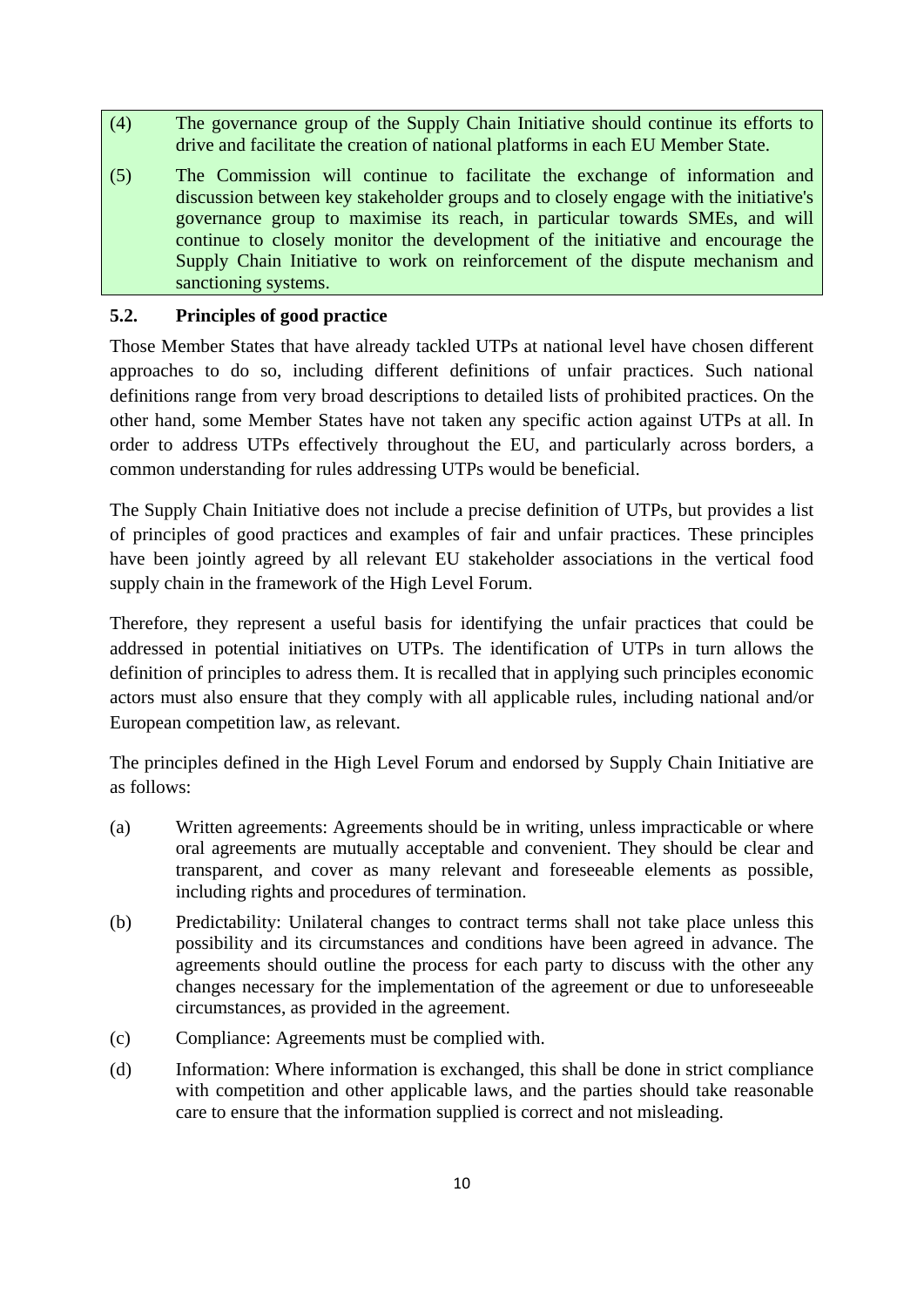- (4) The governance group of the Supply Chain Initiative should continue its efforts to drive and facilitate the creation of national platforms in each EU Member State.
- (5) The Commission will continue to facilitate the exchange of information and discussion between key stakeholder groups and to closely engage with the initiative's governance group to maximise its reach, in particular towards SMEs, and will continue to closely monitor the development of the initiative and encourage the Supply Chain Initiative to work on reinforcement of the dispute mechanism and sanctioning systems.

### **5.2. Principles of good practice**

Those Member States that have already tackled UTPs at national level have chosen different approaches to do so, including different definitions of unfair practices. Such national definitions range from very broad descriptions to detailed lists of prohibited practices. On the other hand, some Member States have not taken any specific action against UTPs at all. In order to address UTPs effectively throughout the EU, and particularly across borders, a common understanding for rules addressing UTPs would be beneficial.

The Supply Chain Initiative does not include a precise definition of UTPs, but provides a list of principles of good practices and examples of fair and unfair practices. These principles have been jointly agreed by all relevant EU stakeholder associations in the vertical food supply chain in the framework of the High Level Forum.

Therefore, they represent a useful basis for identifying the unfair practices that could be addressed in potential initiatives on UTPs. The identification of UTPs in turn allows the definition of principles to adress them. It is recalled that in applying such principles economic actors must also ensure that they comply with all applicable rules, including national and/or European competition law, as relevant.

The principles defined in the High Level Forum and endorsed by Supply Chain Initiative are as follows:

- (a) Written agreements: Agreements should be in writing, unless impracticable or where oral agreements are mutually acceptable and convenient. They should be clear and transparent, and cover as many relevant and foreseeable elements as possible, including rights and procedures of termination.
- (b) Predictability: Unilateral changes to contract terms shall not take place unless this possibility and its circumstances and conditions have been agreed in advance. The agreements should outline the process for each party to discuss with the other any changes necessary for the implementation of the agreement or due to unforeseeable circumstances, as provided in the agreement.
- (c) Compliance: Agreements must be complied with.
- (d) Information: Where information is exchanged, this shall be done in strict compliance with competition and other applicable laws, and the parties should take reasonable care to ensure that the information supplied is correct and not misleading.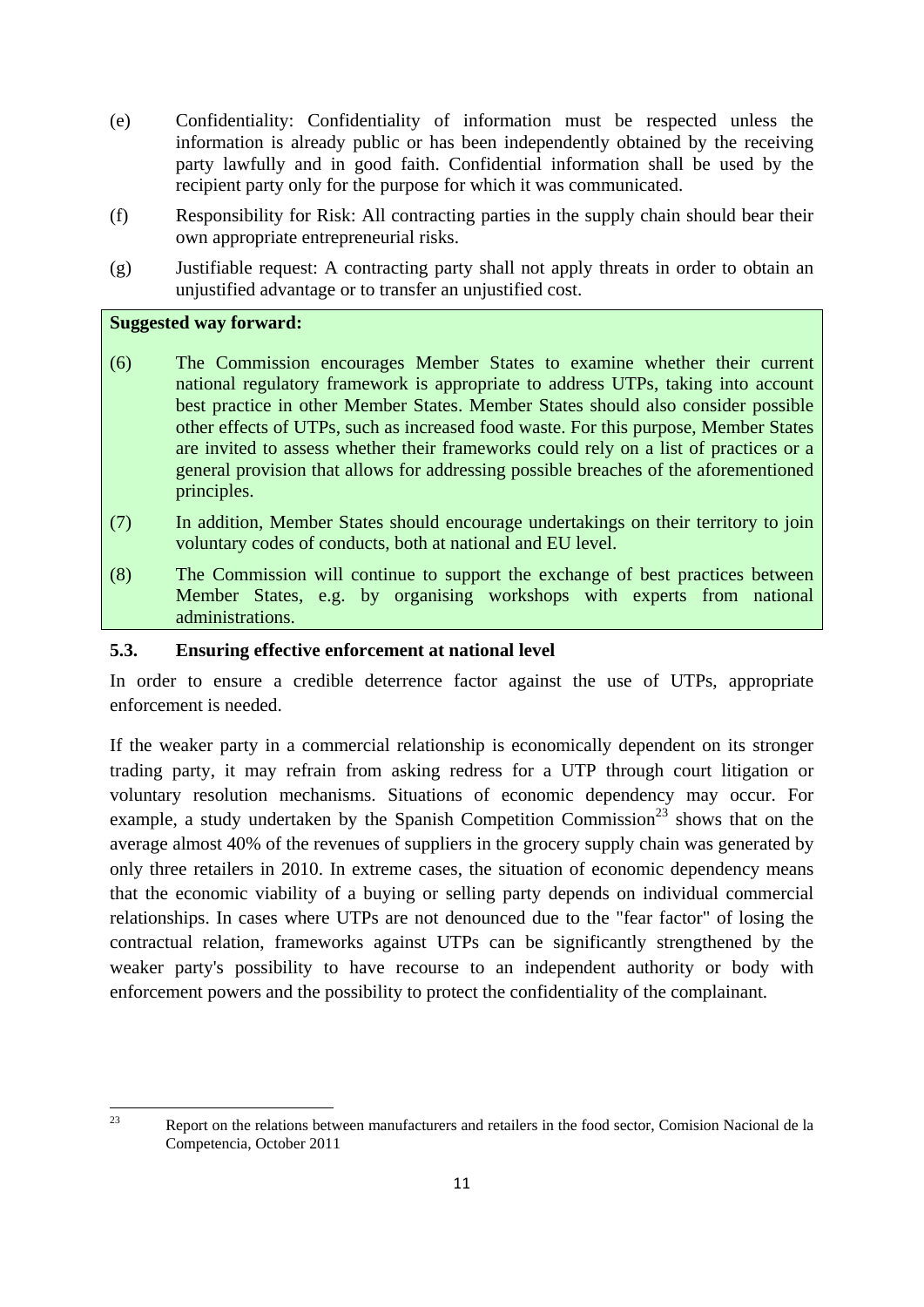- (e) Confidentiality: Confidentiality of information must be respected unless the information is already public or has been independently obtained by the receiving party lawfully and in good faith. Confidential information shall be used by the recipient party only for the purpose for which it was communicated.
- (f) Responsibility for Risk: All contracting parties in the supply chain should bear their own appropriate entrepreneurial risks.
- (g) Justifiable request: A contracting party shall not apply threats in order to obtain an unjustified advantage or to transfer an unjustified cost.

### **Suggested way forward:**

- (6) The Commission encourages Member States to examine whether their current national regulatory framework is appropriate to address UTPs, taking into account best practice in other Member States. Member States should also consider possible other effects of UTPs, such as increased food waste. For this purpose, Member States are invited to assess whether their frameworks could rely on a list of practices or a general provision that allows for addressing possible breaches of the aforementioned principles.
- (7) In addition, Member States should encourage undertakings on their territory to join voluntary codes of conducts, both at national and EU level.
- (8) The Commission will continue to support the exchange of best practices between Member States, e.g. by organising workshops with experts from national administrations.

#### **5.3. Ensuring effective enforcement at national level**

In order to ensure a credible deterrence factor against the use of UTPs, appropriate enforcement is needed.

If the weaker party in a commercial relationship is economically dependent on its stronger trading party, it may refrain from asking redress for a UTP through court litigation or voluntary resolution mechanisms. Situations of economic dependency may occur. For example, a study undertaken by the Spanish Competition Commission<sup>23</sup> shows that on the average almost 40% of the revenues of suppliers in the grocery supply chain was generated by only three retailers in 2010. In extreme cases, the situation of economic dependency means that the economic viability of a buying or selling party depends on individual commercial relationships. In cases where UTPs are not denounced due to the "fear factor" of losing the contractual relation, frameworks against UTPs can be significantly strengthened by the weaker party's possibility to have recourse to an independent authority or body with enforcement powers and the possibility to protect the confidentiality of the complainant.

 $2<sup>2</sup>$ 23 Report on the relations between manufacturers and retailers in the food sector, Comision Nacional de la Competencia, October 2011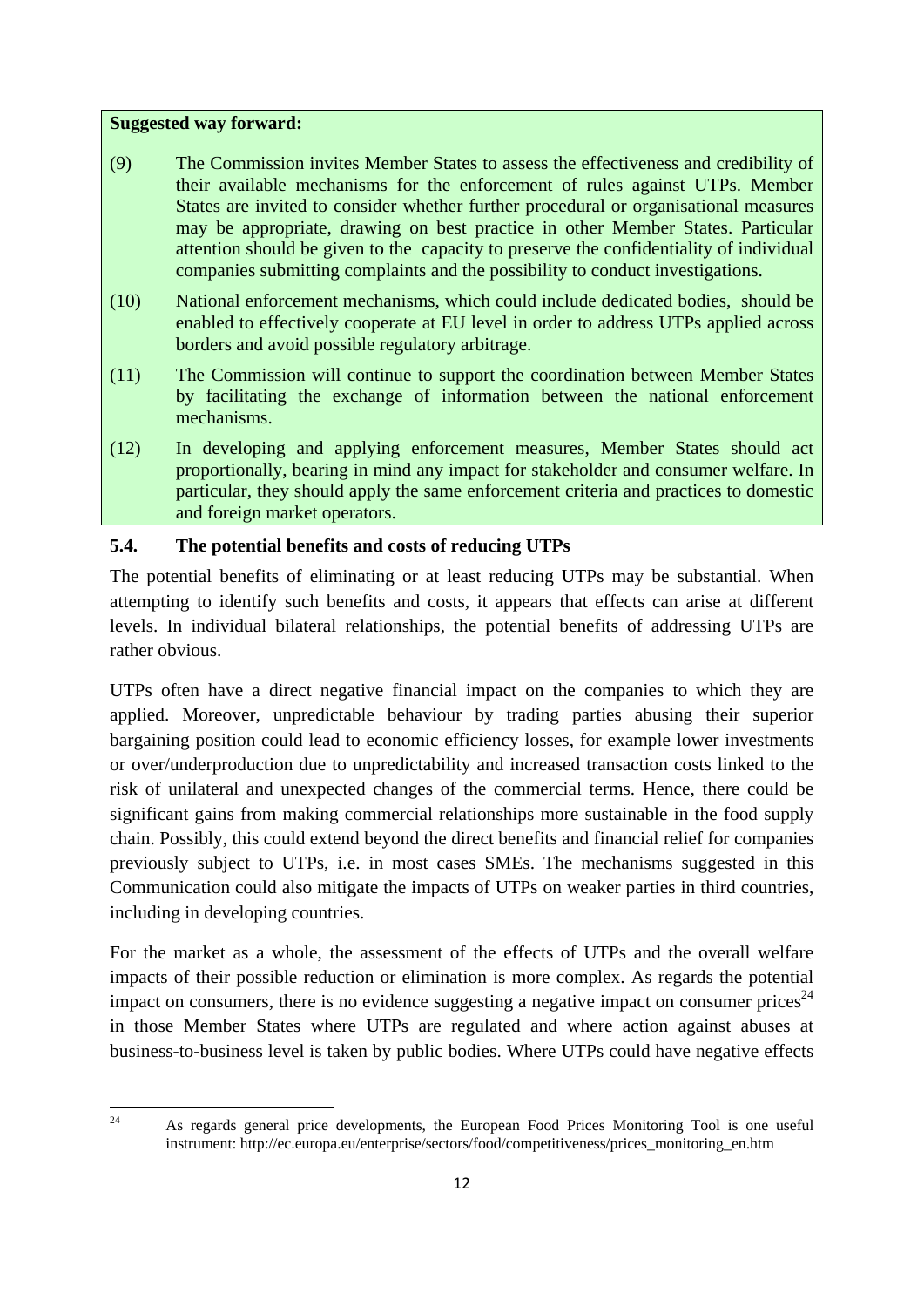#### **Suggested way forward:**

- (9) The Commission invites Member States to assess the effectiveness and credibility of their available mechanisms for the enforcement of rules against UTPs. Member States are invited to consider whether further procedural or organisational measures may be appropriate, drawing on best practice in other Member States. Particular attention should be given to the capacity to preserve the confidentiality of individual companies submitting complaints and the possibility to conduct investigations.
- (10) National enforcement mechanisms, which could include dedicated bodies, should be enabled to effectively cooperate at EU level in order to address UTPs applied across borders and avoid possible regulatory arbitrage.
- (11) The Commission will continue to support the coordination between Member States by facilitating the exchange of information between the national enforcement mechanisms.
- (12) In developing and applying enforcement measures, Member States should act proportionally, bearing in mind any impact for stakeholder and consumer welfare. In particular, they should apply the same enforcement criteria and practices to domestic and foreign market operators.

### **5.4. The potential benefits and costs of reducing UTPs**

The potential benefits of eliminating or at least reducing UTPs may be substantial. When attempting to identify such benefits and costs, it appears that effects can arise at different levels. In individual bilateral relationships, the potential benefits of addressing UTPs are rather obvious.

UTPs often have a direct negative financial impact on the companies to which they are applied. Moreover, unpredictable behaviour by trading parties abusing their superior bargaining position could lead to economic efficiency losses, for example lower investments or over/underproduction due to unpredictability and increased transaction costs linked to the risk of unilateral and unexpected changes of the commercial terms. Hence, there could be significant gains from making commercial relationships more sustainable in the food supply chain. Possibly, this could extend beyond the direct benefits and financial relief for companies previously subject to UTPs, i.e. in most cases SMEs. The mechanisms suggested in this Communication could also mitigate the impacts of UTPs on weaker parties in third countries, including in developing countries.

For the market as a whole, the assessment of the effects of UTPs and the overall welfare impacts of their possible reduction or elimination is more complex. As regards the potential impact on consumers, there is no evidence suggesting a negative impact on consumer prices<sup>24</sup> in those Member States where UTPs are regulated and where action against abuses at business-to-business level is taken by public bodies. Where UTPs could have negative effects

 $24$ 

<sup>24</sup> As regards general price developments, the European Food Prices Monitoring Tool is one useful instrument: http://ec.europa.eu/enterprise/sectors/food/competitiveness/prices\_monitoring\_en.htm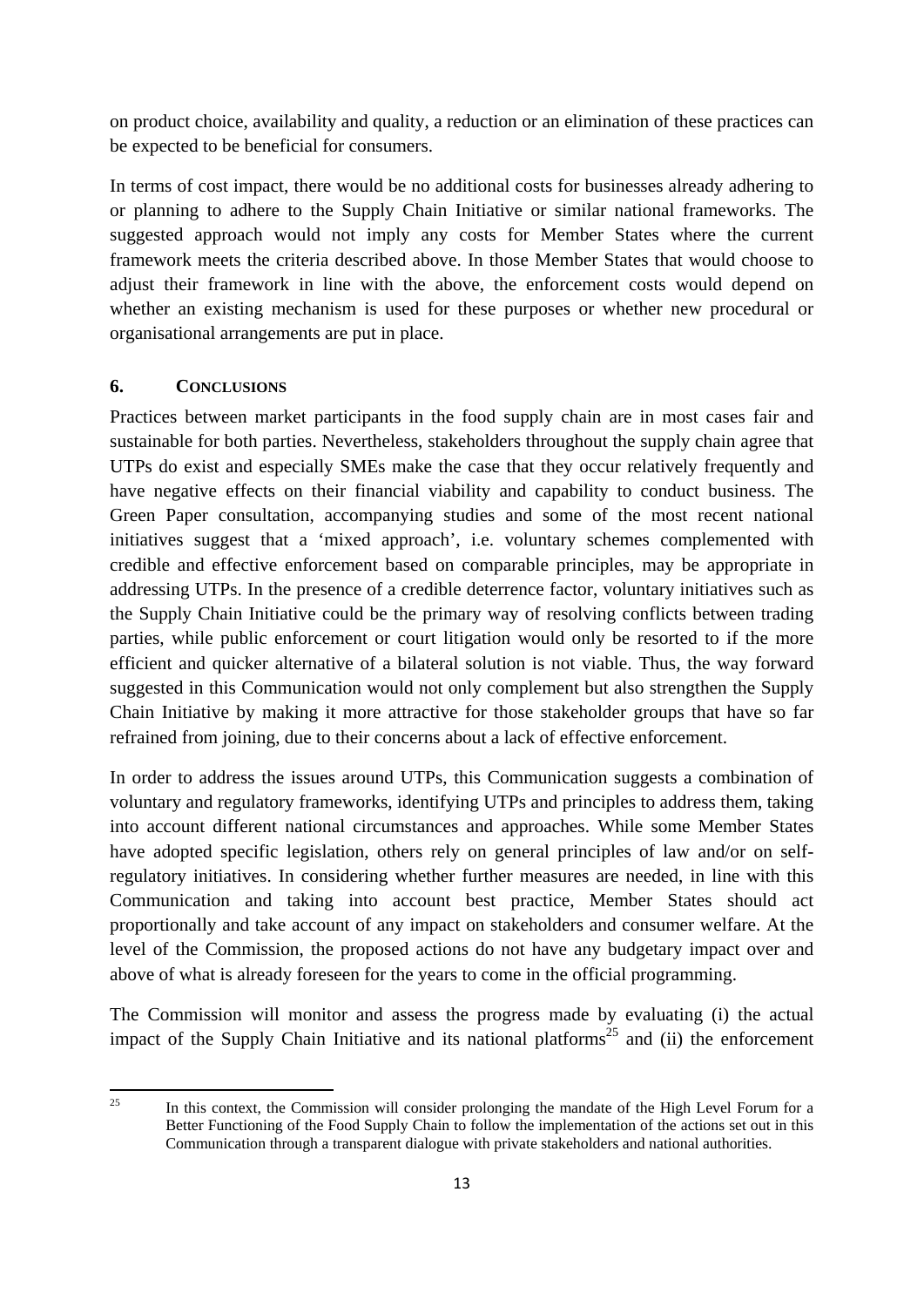on product choice, availability and quality, a reduction or an elimination of these practices can be expected to be beneficial for consumers.

In terms of cost impact, there would be no additional costs for businesses already adhering to or planning to adhere to the Supply Chain Initiative or similar national frameworks. The suggested approach would not imply any costs for Member States where the current framework meets the criteria described above. In those Member States that would choose to adjust their framework in line with the above, the enforcement costs would depend on whether an existing mechanism is used for these purposes or whether new procedural or organisational arrangements are put in place.

### **6. CONCLUSIONS**

Practices between market participants in the food supply chain are in most cases fair and sustainable for both parties. Nevertheless, stakeholders throughout the supply chain agree that UTPs do exist and especially SMEs make the case that they occur relatively frequently and have negative effects on their financial viability and capability to conduct business. The Green Paper consultation, accompanying studies and some of the most recent national initiatives suggest that a 'mixed approach', i.e. voluntary schemes complemented with credible and effective enforcement based on comparable principles, may be appropriate in addressing UTPs. In the presence of a credible deterrence factor, voluntary initiatives such as the Supply Chain Initiative could be the primary way of resolving conflicts between trading parties, while public enforcement or court litigation would only be resorted to if the more efficient and quicker alternative of a bilateral solution is not viable. Thus, the way forward suggested in this Communication would not only complement but also strengthen the Supply Chain Initiative by making it more attractive for those stakeholder groups that have so far refrained from joining, due to their concerns about a lack of effective enforcement.

In order to address the issues around UTPs, this Communication suggests a combination of voluntary and regulatory frameworks, identifying UTPs and principles to address them, taking into account different national circumstances and approaches. While some Member States have adopted specific legislation, others rely on general principles of law and/or on selfregulatory initiatives. In considering whether further measures are needed, in line with this Communication and taking into account best practice, Member States should act proportionally and take account of any impact on stakeholders and consumer welfare. At the level of the Commission, the proposed actions do not have any budgetary impact over and above of what is already foreseen for the years to come in the official programming.

The Commission will monitor and assess the progress made by evaluating (i) the actual impact of the Supply Chain Initiative and its national platforms<sup>25</sup> and (ii) the enforcement

 $25$ 

In this context, the Commission will consider prolonging the mandate of the High Level Forum for a Better Functioning of the Food Supply Chain to follow the implementation of the actions set out in this Communication through a transparent dialogue with private stakeholders and national authorities.